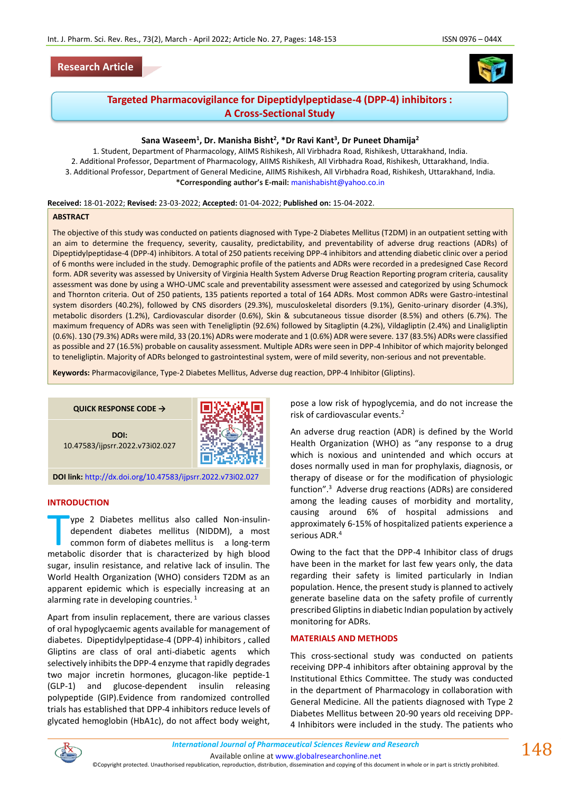



# **Targeted Pharmacovigilance for Dipeptidylpeptidase-4 (DPP-4) inhibitors : A Cross-Sectional Study**

# **Sana Waseem<sup>1</sup> , Dr. Manisha Bisht<sup>2</sup> , \*Dr Ravi Kant<sup>3</sup> , Dr Puneet Dhamija<sup>2</sup>**

1. Student, Department of Pharmacology, AIIMS Rishikesh, All Virbhadra Road, Rishikesh, Uttarakhand, India. 2. Additional Professor, Department of Pharmacology, AIIMS Rishikesh, All Virbhadra Road, Rishikesh, Uttarakhand, India. 3. Additional Professor, Department of General Medicine, AIIMS Rishikesh, All Virbhadra Road, Rishikesh, Uttarakhand, India. **\*Corresponding author's E-mail:** [manishabisht@yahoo.co.in](about:blank)

#### **Received:** 18-01-2022; **Revised:** 23-03-2022; **Accepted:** 01-04-2022; **Published on:** 15-04-2022.

## **ABSTRACT**

The objective of this study was conducted on patients diagnosed with Type-2 Diabetes Mellitus (T2DM) in an outpatient setting with an aim to determine the frequency, severity, causality, predictability, and preventability of adverse drug reactions (ADRs) of Dipeptidylpeptidase-4 (DPP-4) inhibitors. A total of 250 patients receiving DPP-4 inhibitors and attending diabetic clinic over a period of 6 months were included in the study. Demographic profile of the patients and ADRs were recorded in a predesigned Case Record form. ADR severity was assessed by University of Virginia Health System Adverse Drug Reaction Reporting program criteria, causality assessment was done by using a WHO-UMC scale and preventability assessment were assessed and categorized by using Schumock and Thornton criteria. Out of 250 patients, 135 patients reported a total of 164 ADRs. Most common ADRs were Gastro-intestinal system disorders (40.2%), followed by CNS disorders (29.3%), musculoskeletal disorders (9.1%), Genito-urinary disorder (4.3%), metabolic disorders (1.2%), Cardiovascular disorder (0.6%), Skin & subcutaneous tissue disorder (8.5%) and others (6.7%). The maximum frequency of ADRs was seen with Teneligliptin (92.6%) followed by Sitagliptin (4.2%), Vildagliptin (2.4%) and Linaligliptin (0.6%). 130 (79.3%) ADRs were mild, 33 (20.1%) ADRs were moderate and 1 (0.6%) ADR were severe. 137 (83.5%) ADRs were classified as possible and 27 (16.5%) probable on causality assessment. Multiple ADRs were seen in DPP-4 Inhibitor of which majority belonged to teneligliptin. Majority of ADRs belonged to gastrointestinal system, were of mild severity, non-serious and not preventable.

**Keywords:** Pharmacovigilance, Type-2 Diabetes Mellitus, Adverse dug reaction, DPP-4 Inhibitor (Gliptins).



### **INTRODUCTION**

ype 2 Diabetes mellitus also called Non-insulindependent diabetes mellitus (NIDDM), a most common form of diabetes mellitus is a long-term ype 2 Diabetes mellitus also called Non-insulin-<br>dependent diabetes mellitus (NIDDM), a most<br>common form of diabetes mellitus is a long-term<br>metabolic disorder that is characterized by high blood sugar, insulin resistance, and relative lack of insulin. The World Health Organization (WHO) considers T2DM as an apparent epidemic which is especially increasing at an alarming rate in developing countries.  $^{1}$ 

Apart from insulin replacement, there are various classes of oral hypoglycaemic agents available for management of diabetes. Dipeptidylpeptidase-4 (DPP-4) inhibitors , called Gliptins are class of oral anti-diabetic agents which selectively inhibits the DPP-4 enzyme that rapidly degrades two major incretin hormones, glucagon-like peptide-1 (GLP-1) and glucose-dependent insulin releasing polypeptide (GIP).Evidence from randomized controlled trials has established that DPP-4 inhibitors reduce levels of glycated hemoglobin (HbA1c), do not affect body weight,

pose a low risk of hypoglycemia, and do not increase the risk of cardiovascular events.<sup>2</sup>

An adverse drug reaction (ADR) is defined by the World Health Organization (WHO) as "any response to a drug which is noxious and unintended and which occurs at doses normally used in man for prophylaxis, diagnosis, or therapy of disease or for the modification of physiologic function".<sup>3</sup> Adverse drug reactions (ADRs) are considered among the leading causes of morbidity and mortality, causing around 6% of hospital admissions and approximately 6-15% of hospitalized patients experience a serious ADR.<sup>4</sup>

Owing to the fact that the DPP-4 Inhibitor class of drugs have been in the market for last few years only, the data regarding their safety is limited particularly in Indian population. Hence, the present study is planned to actively generate baseline data on the safety profile of currently prescribed Gliptins in diabetic Indian population by actively monitoring for ADRs.

# **MATERIALS AND METHODS**

This cross-sectional study was conducted on patients receiving DPP-4 inhibitors after obtaining approval by the Institutional Ethics Committee. The study was conducted in the department of Pharmacology in collaboration with General Medicine. All the patients diagnosed with Type 2 Diabetes Mellitus between 20-90 years old receiving DPP-4 Inhibitors were included in the study. The patients who

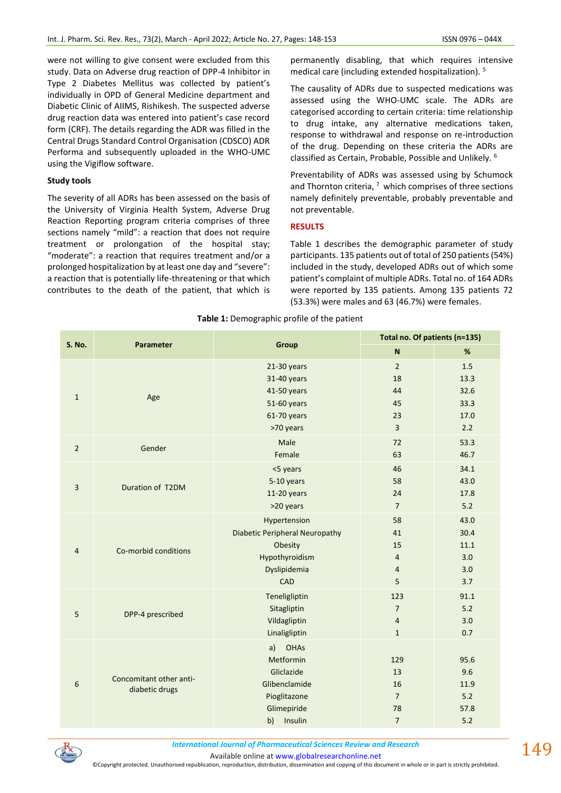were not willing to give consent were excluded from this study. Data on Adverse drug reaction of DPP-4 Inhibitor in Type 2 Diabetes Mellitus was collected by patient's individually in OPD of General Medicine department and Diabetic Clinic of AIIMS, Rishikesh. The suspected adverse drug reaction data was entered into patient's case record form (CRF). The details regarding the ADR was filled in the Central Drugs Standard Control Organisation (CDSCO) ADR Performa and subsequently uploaded in the WHO-UMC using the Vigiflow software.

# **Study tools**

The severity of all ADRs has been assessed on the basis of the University of Virginia Health System, Adverse Drug Reaction Reporting program criteria comprises of three sections namely "mild": a reaction that does not require treatment or prolongation of the hospital stay; "moderate": a reaction that requires treatment and/or a prolonged hospitalization by at least one day and "severe": a reaction that is potentially life-threatening or that which contributes to the death of the patient, that which is permanently disabling, that which requires intensive medical care (including extended hospitalization). <sup>5</sup>

The causality of ADRs due to suspected medications was assessed using the WHO-UMC scale. The ADRs are categorised according to certain criteria: time relationship to drug intake, any alternative medications taken, response to withdrawal and response on re-introduction of the drug. Depending on these criteria the ADRs are classified as Certain, Probable, Possible and Unlikely. <sup>6</sup>

Preventability of ADRs was assessed using by Schumock and Thornton criteria,  $7\,$  which comprises of three sections namely definitely preventable, probably preventable and not preventable.

## **RESULTS**

Table 1 describes the demographic parameter of study participants. 135 patients out of total of 250 patients (54%) included in the study, developed ADRs out of which some patient's complaint of multiple ADRs. Total no. of 164 ADRs were reported by 135 patients. Among 135 patients 72 (53.3%) were males and 63 (46.7%) were females.

| <b>S. No.</b>  | <b>Parameter</b>                          | Group                                 | Total no. Of patients (n=135) |       |  |
|----------------|-------------------------------------------|---------------------------------------|-------------------------------|-------|--|
|                |                                           |                                       | $\boldsymbol{\mathsf{N}}$     | $\%$  |  |
| $\mathbf{1}$   | Age                                       | 21-30 years                           | $\overline{2}$                | 1.5   |  |
|                |                                           | 31-40 years                           | 18                            | 13.3  |  |
|                |                                           | 41-50 years                           | 44                            | 32.6  |  |
|                |                                           | 51-60 years                           | 45                            | 33.3  |  |
|                |                                           | 61-70 years                           | 23                            | 17.0  |  |
|                |                                           | >70 years                             | $\overline{3}$                | 2.2   |  |
| $\overline{2}$ | Gender                                    | Male                                  | 72                            | 53.3  |  |
|                |                                           | Female                                | 63                            | 46.7  |  |
| $\overline{3}$ | Duration of T2DM                          | <5 years                              | 46                            | 34.1  |  |
|                |                                           | 5-10 years                            | 58                            | 43.0  |  |
|                |                                           | $11-20$ years                         | 24                            | 17.8  |  |
|                |                                           | >20 years                             | $\overline{7}$                | $5.2$ |  |
|                | Co-morbid conditions                      | Hypertension                          | 58                            | 43.0  |  |
|                |                                           | <b>Diabetic Peripheral Neuropathy</b> | 41                            | 30.4  |  |
|                |                                           | Obesity                               | 15                            | 11.1  |  |
| $\overline{4}$ |                                           | Hypothyroidism                        | $\overline{4}$                | 3.0   |  |
|                |                                           | Dyslipidemia                          | $\overline{4}$                | 3.0   |  |
|                |                                           | <b>CAD</b>                            | 5                             | 3.7   |  |
| 5              | DPP-4 prescribed                          | Teneligliptin                         | 123                           | 91.1  |  |
|                |                                           | Sitagliptin                           | $\overline{7}$                | 5.2   |  |
|                |                                           | Vildagliptin                          | $\overline{4}$                | 3.0   |  |
|                |                                           | Linaligliptin                         | $\mathbf 1$                   | 0.7   |  |
| 6              | Concomitant other anti-<br>diabetic drugs | <b>OHAs</b><br>a)                     |                               |       |  |
|                |                                           | Metformin                             | 129                           | 95.6  |  |
|                |                                           | Gliclazide                            | 13                            | 9.6   |  |
|                |                                           | Glibenclamide                         | 16                            | 11.9  |  |
|                |                                           | Pioglitazone                          | $\overline{7}$                | 5.2   |  |
|                |                                           | Glimepiride                           | 78                            | 57.8  |  |
|                |                                           | b)<br>Insulin                         | $\overline{7}$                | 5.2   |  |

#### **Table 1:** Demographic profile of the patient



*International Journal of Pharmaceutical Sciences Review and Research International Journal of Pharmaceutical Sciences Review and Research*

Available online a[t www.globalresearchonline.net](http://www.globalresearchonline.net/)

©Copyright protected. Unauthorised republication, reproduction, distribution, dissemination and copying of this document in whole or in part is strictly prohibited.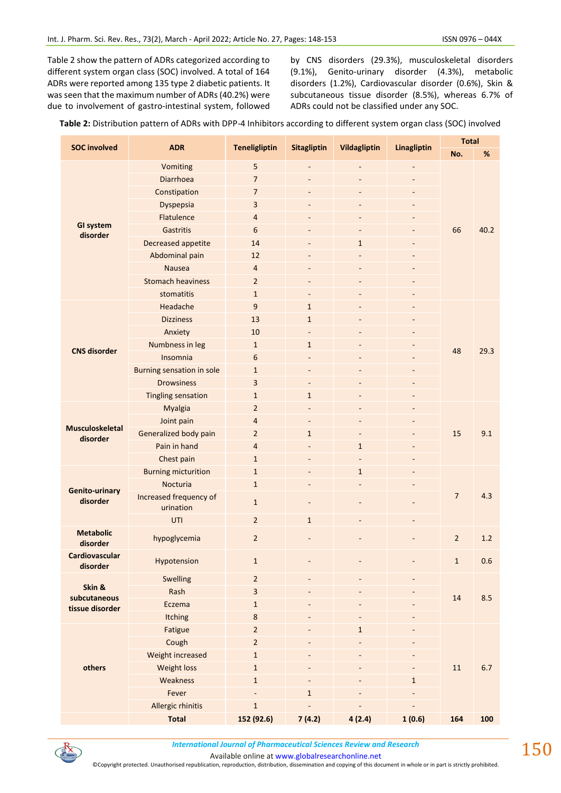Table 2 show the pattern of ADRs categorized according to different system organ class (SOC) involved. A total of 164 ADRs were reported among 135 type 2 diabetic patients. It was seen that the maximum number of ADRs (40.2%) were due to involvement of gastro-intestinal system, followed by CNS disorders (29.3%), musculoskeletal disorders (9.1%), Genito-urinary disorder (4.3%), metabolic disorders (1.2%), Cardiovascular disorder (0.6%), Skin & subcutaneous tissue disorder (8.5%), whereas 6.7% of ADRs could not be classified under any SOC.

| Table 2: Distribution pattern of ADRs with DPP-4 Inhibitors according to different system organ class (SOC) involved |  |
|----------------------------------------------------------------------------------------------------------------------|--|
|----------------------------------------------------------------------------------------------------------------------|--|

| <b>SOC involved</b>                | <b>ADR</b>                          | <b>Teneligliptin</b>    | <b>Sitagliptin</b>           | Vildagliptin             | Linagliptin    | <b>Total</b>   |      |
|------------------------------------|-------------------------------------|-------------------------|------------------------------|--------------------------|----------------|----------------|------|
|                                    |                                     |                         |                              |                          |                | No.            | %    |
|                                    | Vomiting                            | 5                       | $\qquad \qquad \blacksquare$ |                          |                | 66             | 40.2 |
|                                    | Diarrhoea                           | $\overline{7}$          |                              |                          |                |                |      |
|                                    | Constipation                        | $\overline{7}$          |                              |                          |                |                |      |
|                                    | Dyspepsia                           | 3                       | $\overline{\phantom{a}}$     | -                        |                |                |      |
| <b>GI system</b>                   | Flatulence                          | $\overline{4}$          |                              |                          |                |                |      |
| disorder                           | Gastritis                           | 6                       |                              |                          |                |                |      |
|                                    | Decreased appetite                  | 14                      |                              | $\mathbf{1}$             |                |                |      |
|                                    | Abdominal pain                      | 12                      |                              |                          |                |                |      |
|                                    | <b>Nausea</b>                       | $\overline{4}$          |                              |                          |                |                |      |
|                                    | <b>Stomach heaviness</b>            | $\overline{2}$          |                              |                          |                |                |      |
|                                    | stomatitis                          | $\mathbf{1}$            | $\overline{\phantom{a}}$     | $\overline{a}$           |                |                |      |
|                                    | Headache                            | 9                       | $\mathbf{1}$                 | $\qquad \qquad -$        |                | 48             | 29.3 |
|                                    | <b>Dizziness</b>                    | 13                      | $\mathbf{1}$                 | $\overline{\phantom{a}}$ |                |                |      |
|                                    | Anxiety                             | 10                      |                              |                          |                |                |      |
| <b>CNS disorder</b>                | Numbness in leg                     | $\mathbf{1}$            | $\mathbf{1}$                 |                          |                |                |      |
|                                    | Insomnia                            | 6                       |                              |                          |                |                |      |
|                                    | Burning sensation in sole           | $\mathbf{1}$            | $\overline{\phantom{a}}$     | ٠                        |                |                |      |
|                                    | <b>Drowsiness</b>                   | 3                       |                              |                          |                |                |      |
|                                    | <b>Tingling sensation</b>           | $\mathbf{1}$            | $\mathbf{1}$                 | ٠                        |                |                |      |
|                                    | Myalgia                             | $\overline{2}$          | $\overline{\phantom{a}}$     | $\overline{\phantom{a}}$ |                | 15             | 9.1  |
|                                    | Joint pain                          | $\overline{4}$          |                              | $\overline{\phantom{a}}$ |                |                |      |
| <b>Musculoskeletal</b><br>disorder | Generalized body pain               | $\overline{2}$          | $\mathbf{1}$                 |                          |                |                |      |
|                                    | Pain in hand                        | $\overline{4}$          |                              | $\mathbf{1}$             |                |                |      |
|                                    | Chest pain                          | $\mathbf{1}$            |                              |                          |                |                |      |
|                                    | <b>Burning micturition</b>          | $\mathbf{1}$            |                              | $\mathbf{1}$             |                | $\overline{7}$ | 4.3  |
| <b>Genito-urinary</b>              | Nocturia                            | $\mathbf{1}$            |                              |                          |                |                |      |
| disorder                           | Increased frequency of<br>urination | $\mathbf{1}$            | $\overline{\phantom{a}}$     |                          |                |                |      |
|                                    | UTI                                 | $\overline{2}$          | $\mathbf{1}$                 | $\overline{a}$           | $\overline{a}$ |                |      |
| <b>Metabolic</b><br>disorder       | hypoglycemia                        | $\overline{2}$          |                              |                          |                | $\overline{2}$ | 1.2  |
| <b>Cardiovascular</b><br>disorder  | Hypotension                         | $\mathbf{1}$            |                              |                          |                | $\mathbf{1}$   | 0.6  |
|                                    | Swelling                            | $\overline{2}$          |                              |                          |                | ${\bf 14}$     | 8.5  |
| Skin &                             | Rash                                | $\overline{\mathbf{3}}$ |                              |                          |                |                |      |
| subcutaneous<br>tissue disorder    | Eczema                              | $\mathbf{1}$            |                              |                          |                |                |      |
|                                    | <b>Itching</b>                      | 8                       |                              |                          |                |                |      |
|                                    | Fatigue                             | $\overline{2}$          | $\qquad \qquad -$            | $\mathbf{1}$             |                | $11\,$         |      |
|                                    | Cough                               | $\overline{2}$          |                              |                          |                |                |      |
|                                    | Weight increased                    | $\mathbf{1}$            |                              |                          |                |                | 6.7  |
| others                             | <b>Weight loss</b>                  | $\mathbf{1}$            |                              |                          |                |                |      |
|                                    | Weakness                            | $\mathbf{1}$            |                              |                          | $\mathbf{1}$   |                |      |
|                                    | Fever                               |                         | $\mathbf{1}$                 |                          |                |                |      |
|                                    | Allergic rhinitis                   | $\mathbf 1$             |                              |                          |                |                |      |
|                                    | <b>Total</b>                        | 152 (92.6)              | 7(4.2)                       | 4(2.4)                   | 1(0.6)         | 164            | 100  |



Available online a[t www.globalresearchonline.net](http://www.globalresearchonline.net/)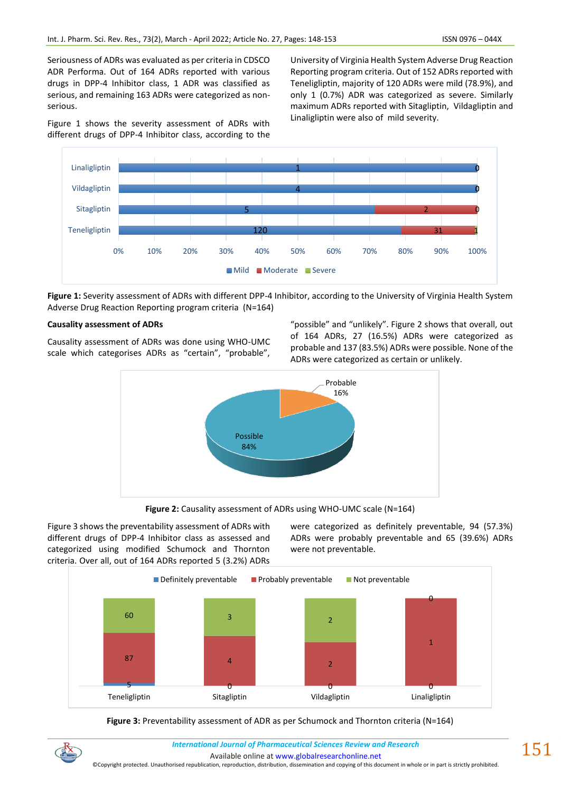Seriousness of ADRs was evaluated as per criteria in CDSCO ADR Performa. Out of 164 ADRs reported with various drugs in DPP-4 Inhibitor class, 1 ADR was classified as serious, and remaining 163 ADRs were categorized as nonserious.

Figure 1 shows the severity assessment of ADRs with different drugs of DPP-4 Inhibitor class, according to the University of Virginia Health System Adverse Drug Reaction Reporting program criteria. Out of 152 ADRs reported with Teneligliptin, majority of 120 ADRs were mild (78.9%), and only 1 (0.7%) ADR was categorized as severe. Similarly maximum ADRs reported with Sitagliptin, Vildagliptin and Linaligliptin were also of mild severity.



**Figure 1:** Severity assessment of ADRs with different DPP-4 Inhibitor, according to the University of Virginia Health System Adverse Drug Reaction Reporting program criteria (N=164)

#### **Causality assessment of ADRs**

Causality assessment of ADRs was done using WHO-UMC scale which categorises ADRs as "certain", "probable",

"possible" and "unlikely". Figure 2 shows that overall, out of 164 ADRs, 27 (16.5%) ADRs were categorized as probable and 137 (83.5%) ADRs were possible. None of the ADRs were categorized as certain or unlikely.



**Figure 2:** Causality assessment of ADRs using WHO-UMC scale (N=164)

Figure 3 shows the preventability assessment of ADRs with different drugs of DPP-4 Inhibitor class as assessed and categorized using modified Schumock and Thornton criteria. Over all, out of 164 ADRs reported 5 (3.2%) ADRs were categorized as definitely preventable, 94 (57.3%) ADRs were probably preventable and 65 (39.6%) ADRs were not preventable.



# **Figure 3:** Preventability assessment of ADR as per Schumock and Thornton criteria (N=164)



*International Journal of Pharmaceutical Sciences Review and Research International Journal of Pharmaceutical Sciences Review and Research*

Available online a[t www.globalresearchonline.net](http://www.globalresearchonline.net/)

©Copyright protected. Unauthorised republication, reproduction, distribution, dissemination and copying of this document in whole or in part is strictly prohibited.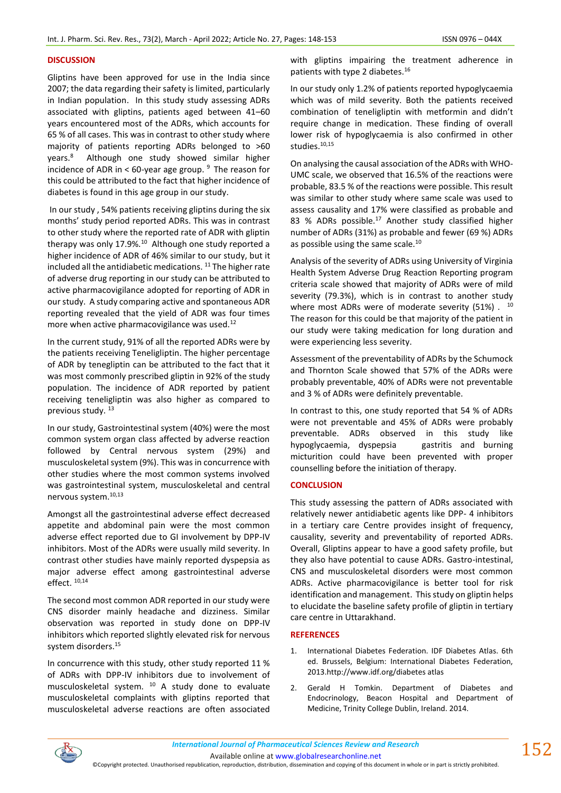# **DISCUSSION**

Gliptins have been approved for use in the India since 2007; the data regarding their safety is limited, particularly in Indian population. In this study study assessing ADRs associated with gliptins, patients aged between 41–60 years encountered most of the ADRs, which accounts for 65 % of all cases. This was in contrast to other study where majority of patients reporting ADRs belonged to >60 years.<sup>8</sup> Although one study showed similar higher incidence of ADR in < 60-year age group.  $9$  The reason for this could be attributed to the fact that higher incidence of diabetes is found in this age group in our study.

In our study , 54% patients receiving gliptins during the six months' study period reported ADRs. This was in contrast to other study where the reported rate of ADR with gliptin therapy was only 17.9%.<sup>10</sup> Although one study reported a higher incidence of ADR of 46% similar to our study, but it included all the antidiabetic medications.  $11$  The higher rate of adverse drug reporting in our study can be attributed to active pharmacovigilance adopted for reporting of ADR in our study. A study comparing active and spontaneous ADR reporting revealed that the yield of ADR was four times more when active pharmacovigilance was used.<sup>12</sup>

In the current study, 91% of all the reported ADRs were by the patients receiving Teneligliptin. The higher percentage of ADR by tenegliptin can be attributed to the fact that it was most commonly prescribed gliptin in 92% of the study population. The incidence of ADR reported by patient receiving teneligliptin was also higher as compared to previous study.<sup>13</sup>

In our study, Gastrointestinal system (40%) were the most common system organ class affected by adverse reaction followed by Central nervous system (29%) and musculoskeletal system (9%). This was in concurrence with other studies where the most common systems involved was gastrointestinal system, musculoskeletal and central nervous system.10,13

Amongst all the gastrointestinal adverse effect decreased appetite and abdominal pain were the most common adverse effect reported due to GI involvement by DPP-IV inhibitors. Most of the ADRs were usually mild severity. In contrast other studies have mainly reported dyspepsia as major adverse effect among gastrointestinal adverse effect. 10,14

The second most common ADR reported in our study were CNS disorder mainly headache and dizziness. Similar observation was reported in study done on DPP-IV inhibitors which reported slightly elevated risk for nervous system disorders.<sup>15</sup>

In concurrence with this study, other study reported 11 % of ADRs with DPP-IV inhibitors due to involvement of musculoskeletal system. <sup>10</sup> A study done to evaluate musculoskeletal complaints with gliptins reported that musculoskeletal adverse reactions are often associated with gliptins impairing the treatment adherence in patients with type 2 diabetes.<sup>16</sup>

In our study only 1.2% of patients reported hypoglycaemia which was of mild severity. Both the patients received combination of teneligliptin with metformin and didn't require change in medication. These finding of overall lower risk of hypoglycaemia is also confirmed in other studies.<sup>10,15</sup>

On analysing the causal association of the ADRs with WHO-UMC scale, we observed that 16.5% of the reactions were probable, 83.5 % of the reactions were possible. This result was similar to other study where same scale was used to assess causality and 17% were classified as probable and 83 % ADRs possible.<sup>17</sup> Another study classified higher number of ADRs (31%) as probable and fewer (69 %) ADRs as possible using the same scale.<sup>10</sup>

Analysis of the severity of ADRs using University of Virginia Health System Adverse Drug Reaction Reporting program criteria scale showed that majority of ADRs were of mild severity (79.3%), which is in contrast to another study where most ADRs were of moderate severity  $(51\%)$ . <sup>10</sup> The reason for this could be that majority of the patient in our study were taking medication for long duration and were experiencing less severity.

Assessment of the preventability of ADRs by the Schumock and Thornton Scale showed that 57% of the ADRs were probably preventable, 40% of ADRs were not preventable and 3 % of ADRs were definitely preventable.

In contrast to this, one study reported that 54 % of ADRs were not preventable and 45% of ADRs were probably preventable. ADRs observed in this study like hypoglycaemia, dyspepsia gastritis and burning micturition could have been prevented with proper counselling before the initiation of therapy.

#### **CONCLUSION**

This study assessing the pattern of ADRs associated with relatively newer antidiabetic agents like DPP- 4 inhibitors in a tertiary care Centre provides insight of frequency, causality, severity and preventability of reported ADRs. Overall, Gliptins appear to have a good safety profile, but they also have potential to cause ADRs. Gastro-intestinal, CNS and musculoskeletal disorders were most common ADRs. Active pharmacovigilance is better tool for risk identification and management. This study on gliptin helps to elucidate the baseline safety profile of gliptin in tertiary care centre in Uttarakhand.

#### **REFERENCES**

- 1. International Diabetes Federation. IDF Diabetes Atlas. 6th ed. Brussels, Belgium: International Diabetes Federation, 2013.http://www.idf.org/diabetes atlas
- 2. Gerald H Tomkin. Department of Diabetes and Endocrinology, Beacon Hospital and Department of Medicine, Trinity College Dublin, Ireland. 2014.



Available online a[t www.globalresearchonline.net](http://www.globalresearchonline.net/)